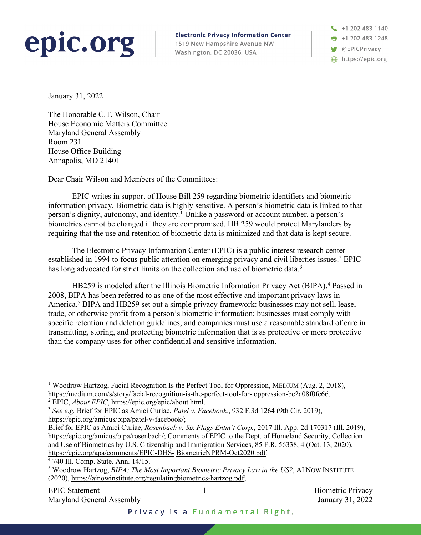## epic.org

**Electronic Privacy Information Center** 

1519 New Hampshire Avenue NW Washington, DC 20036, USA

+1 202 483 1140  $\frac{1}{2}$  +1 202 483 1248 OEPICPrivacy https://epic.org

January 31, 2022

The Honorable C.T. Wilson, Chair House Economic Matters Committee Maryland General Assembly Room 231 House Office Building Annapolis, MD 21401

Dear Chair Wilson and Members of the Committees:

EPIC writes in support of House Bill 259 regarding biometric identifiers and biometric information privacy*.* Biometric data is highly sensitive. A person's biometric data is linked to that person's dignity, autonomy, and identity.<sup>1</sup> Unlike a password or account number, a person's biometrics cannot be changed if they are compromised. HB 259 would protect Marylanders by requiring that the use and retention of biometric data is minimized and that data is kept secure.

The Electronic Privacy Information Center (EPIC) is a public interest research center established in 1994 to focus public attention on emerging privacy and civil liberties issues.<sup>2</sup> EPIC has long advocated for strict limits on the collection and use of biometric data.<sup>3</sup>

HB259 is modeled after the Illinois Biometric Information Privacy Act (BIPA). <sup>4</sup> Passed in 2008, BIPA has been referred to as one of the most effective and important privacy laws in America.<sup>5</sup> BIPA and HB259 set out a simple privacy framework: businesses may not sell, lease, trade, or otherwise profit from a person's biometric information; businesses must comply with specific retention and deletion guidelines; and companies must use a reasonable standard of care in transmitting, storing, and protecting biometric information that is as protective or more protective than the company uses for other confidential and sensitive information.

<sup>&</sup>lt;sup>1</sup> Woodrow Hartzog, Facial Recognition Is the Perfect Tool for Oppression, MEDIUM (Aug. 2, 2018), https://medium.com/s/story/facial-recognition-is-the-perfect-tool-for- oppression-bc2a08f0fe66.

<sup>2</sup> EPIC, *About EPIC*, https://epic.org/epic/about.html.

<sup>3</sup> *See e.g.* Brief for EPIC as Amici Curiae, *Patel v. Facebook.*, 932 F.3d 1264 (9th Cir. 2019), https://epic.org/amicus/bipa/patel-v-facebook/;

Brief for EPIC as Amici Curiae, *Rosenbach v. Six Flags Entm't Corp.*, 2017 Ill. App. 2d 170317 (Ill. 2019), https://epic.org/amicus/bipa/rosenbach/; Comments of EPIC to the Dept. of Homeland Security, Collection and Use of Biometrics by U.S. Citizenship and Immigration Services, 85 F.R. 56338, 4 (Oct. 13, 2020), https://epic.org/apa/comments/EPIC-DHS- BiometricNPRM-Oct2020.pdf.

<sup>4</sup> 740 Ill. Comp. State. Ann. 14/15.

<sup>5</sup> Woodrow Hartzog, *BIPA: The Most Important Biometric Privacy Law in the US?*, AI NOW INSTITUTE (2020), https://ainowinstitute.org/regulatingbiometrics-hartzog.pdf;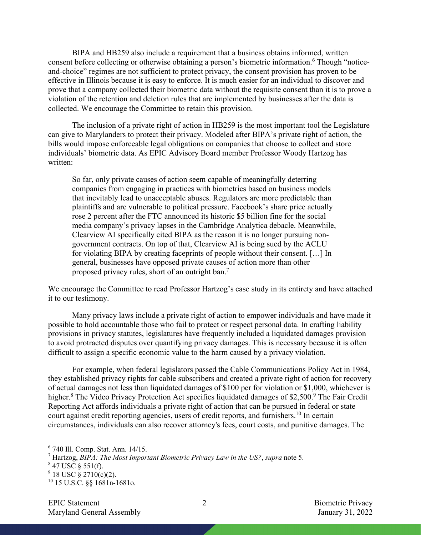BIPA and HB259 also include a requirement that a business obtains informed, written consent before collecting or otherwise obtaining a person's biometric information.<sup>6</sup> Though "noticeand-choice" regimes are not sufficient to protect privacy, the consent provision has proven to be effective in Illinois because it is easy to enforce. It is much easier for an individual to discover and prove that a company collected their biometric data without the requisite consent than it is to prove a violation of the retention and deletion rules that are implemented by businesses after the data is collected. We encourage the Committee to retain this provision.

The inclusion of a private right of action in HB259 is the most important tool the Legislature can give to Marylanders to protect their privacy. Modeled after BIPA's private right of action, the bills would impose enforceable legal obligations on companies that choose to collect and store individuals' biometric data. As EPIC Advisory Board member Professor Woody Hartzog has written:

So far, only private causes of action seem capable of meaningfully deterring companies from engaging in practices with biometrics based on business models that inevitably lead to unacceptable abuses. Regulators are more predictable than plaintiffs and are vulnerable to political pressure. Facebook's share price actually rose 2 percent after the FTC announced its historic \$5 billion fine for the social media company's privacy lapses in the Cambridge Analytica debacle. Meanwhile, Clearview AI specifically cited BIPA as the reason it is no longer pursuing nongovernment contracts. On top of that, Clearview AI is being sued by the ACLU for violating BIPA by creating faceprints of people without their consent. […] In general, businesses have opposed private causes of action more than other proposed privacy rules, short of an outright ban.7

We encourage the Committee to read Professor Hartzog's case study in its entirety and have attached it to our testimony.

Many privacy laws include a private right of action to empower individuals and have made it possible to hold accountable those who fail to protect or respect personal data. In crafting liability provisions in privacy statutes, legislatures have frequently included a liquidated damages provision to avoid protracted disputes over quantifying privacy damages. This is necessary because it is often difficult to assign a specific economic value to the harm caused by a privacy violation.

For example, when federal legislators passed the Cable Communications Policy Act in 1984, they established privacy rights for cable subscribers and created a private right of action for recovery of actual damages not less than liquidated damages of \$100 per for violation or \$1,000, whichever is higher.<sup>8</sup> The Video Privacy Protection Act specifies liquidated damages of \$2,500.<sup>9</sup> The Fair Credit Reporting Act affords individuals a private right of action that can be pursued in federal or state court against credit reporting agencies, users of credit reports, and furnishers.<sup>10</sup> In certain circumstances, individuals can also recover attorney's fees, court costs, and punitive damages. The

<sup>6</sup> 740 Ill. Comp. Stat. Ann. 14/15.

<sup>7</sup> Hartzog, *BIPA: The Most Important Biometric Privacy Law in the US?*, *supra* note 5.

 $847$  USC  $\S$  551(f).

 $9$  18 USC  $\frac{8}{9}$  2710(c)(2).

<sup>10</sup> 15 U.S.C. §§ 1681n-1681o.